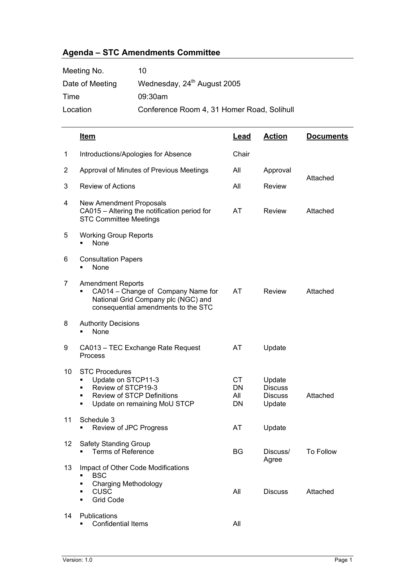## **Agenda – STC Amendments Committee**

| Meeting No.     | 10                                         |
|-----------------|--------------------------------------------|
| Date of Meeting | Wednesday, 24 <sup>th</sup> August 2005    |
| Time            | 09:30am                                    |
| Location        | Conference Room 4, 31 Homer Road, Solihull |

|    | <u>Item</u>                                                                                                                                           | Lead                   | <u>Action</u>                                        | <b>Documents</b> |  |
|----|-------------------------------------------------------------------------------------------------------------------------------------------------------|------------------------|------------------------------------------------------|------------------|--|
| 1  | Introductions/Apologies for Absence                                                                                                                   | Chair                  |                                                      |                  |  |
| 2  | Approval of Minutes of Previous Meetings                                                                                                              | All                    | Approval                                             |                  |  |
| 3  | <b>Review of Actions</b>                                                                                                                              | All                    | Review                                               | Attached         |  |
| 4  | New Amendment Proposals<br>CA015 - Altering the notification period for<br><b>STC Committee Meetings</b>                                              | AT                     | Review                                               | Attached         |  |
| 5  | <b>Working Group Reports</b><br>None                                                                                                                  |                        |                                                      |                  |  |
| 6  | <b>Consultation Papers</b><br>None                                                                                                                    |                        |                                                      |                  |  |
| 7  | <b>Amendment Reports</b><br>CA014 - Change of Company Name for<br>National Grid Company plc (NGC) and<br>consequential amendments to the STC          | AT                     | <b>Review</b>                                        | Attached         |  |
| 8  | <b>Authority Decisions</b><br>None                                                                                                                    |                        |                                                      |                  |  |
| 9  | CA013 - TEC Exchange Rate Request<br>Process                                                                                                          | AT                     | Update                                               |                  |  |
| 10 | <b>STC Procedures</b><br>Update on STCP11-3<br>Review of STCP19-3<br>п<br><b>Review of STCP Definitions</b><br>٠<br>Update on remaining MoU STCP<br>٠ | CT.<br>DN<br>All<br>DN | Update<br><b>Discuss</b><br><b>Discuss</b><br>Update | Attached         |  |
| 11 | Schedule 3<br>Review of JPC Progress                                                                                                                  | AT                     | Update                                               |                  |  |
| 12 | <b>Safety Standing Group</b><br><b>Terms of Reference</b>                                                                                             | BG                     | Discuss/<br>Agree                                    | To Follow        |  |
| 13 | Impact of Other Code Modifications<br><b>BSC</b><br><b>Charging Methodology</b><br>٠<br><b>CUSC</b><br>٠<br><b>Grid Code</b><br>٠                     | All                    | <b>Discuss</b>                                       | Attached         |  |
| 14 | Publications<br><b>Confidential Items</b>                                                                                                             | All                    |                                                      |                  |  |